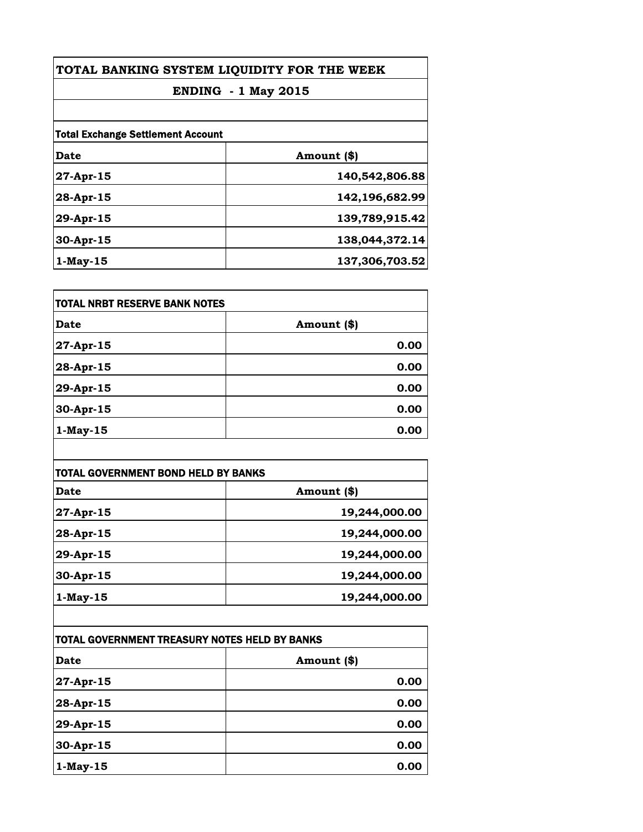| TOTAL BANKING SYSTEM LIQUIDITY FOR THE WEEK<br><b>ENDING - 1 May 2015</b> |                |
|---------------------------------------------------------------------------|----------------|
|                                                                           |                |
| <b>Total Exchange Settlement Account</b>                                  |                |
| Date                                                                      | Amount (\$)    |
| 27-Apr-15                                                                 | 140,542,806.88 |
| $28 - Apr - 15$                                                           | 142,196,682.99 |
| 29-Apr-15                                                                 | 139,789,915.42 |
| 30-Apr-15                                                                 | 138,044,372.14 |
| $1$ -May-15                                                               | 137,306,703.52 |

| <b>TOTAL NRBT RESERVE BANK NOTES</b> |             |
|--------------------------------------|-------------|
| Date                                 | Amount (\$) |
| 27-Apr-15                            | 0.00        |
| 28-Apr-15                            | 0.00        |
| 29-Apr-15                            | 0.00        |
| 30-Apr-15                            | 0.00        |
| $1$ -May-15                          | 0.00        |

| <b>TOTAL GOVERNMENT BOND HELD BY BANKS</b> |               |
|--------------------------------------------|---------------|
| Date                                       | Amount (\$)   |
| 27-Apr-15                                  | 19,244,000.00 |
| 28-Apr-15                                  | 19,244,000.00 |
| 29-Apr-15                                  | 19,244,000.00 |
| 30-Apr-15                                  | 19,244,000.00 |
| $1$ -May-15                                | 19,244,000.00 |

| TOTAL GOVERNMENT TREASURY NOTES HELD BY BANKS |             |
|-----------------------------------------------|-------------|
| <b>Date</b>                                   | Amount (\$) |
| 27-Apr-15                                     | 0.00        |
| 28-Apr-15                                     | 0.00        |
| 29-Apr-15                                     | 0.00        |
| 30-Apr-15                                     | 0.00        |
| $1$ -May-15                                   | 0.00        |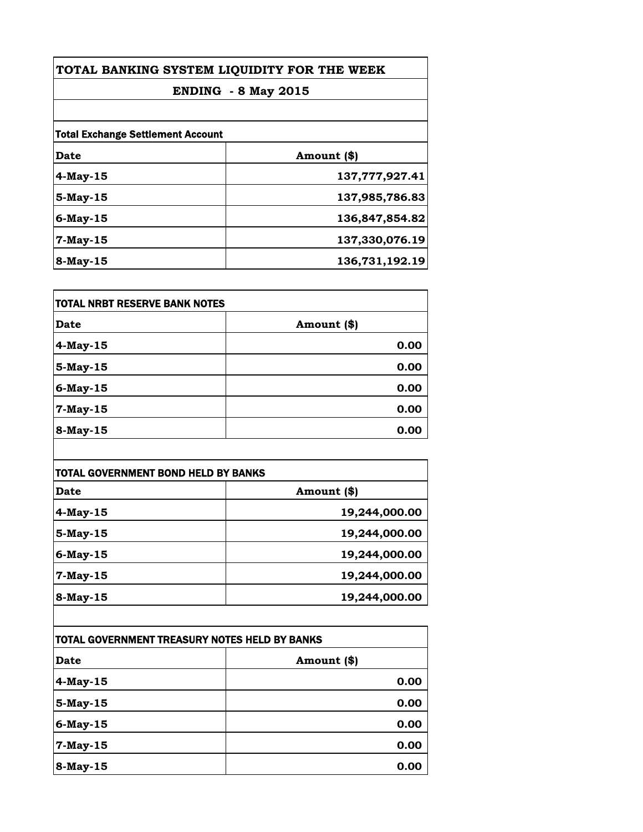| TOTAL BANKING SYSTEM LIQUIDITY FOR THE WEEK<br><b>ENDING - 8 May 2015</b> |                |
|---------------------------------------------------------------------------|----------------|
|                                                                           |                |
| <b>Total Exchange Settlement Account</b>                                  |                |
| Date                                                                      | Amount (\$)    |
| 4-May-15                                                                  | 137,777,927.41 |
| 5-May-15                                                                  | 137,985,786.83 |
| 6-May-15                                                                  | 136,847,854.82 |
| $7-May-15$                                                                | 137,330,076.19 |
| $8$ -May-15                                                               | 136,731,192.19 |

| TOTAL NRBT RESERVE BANK NOTES |             |
|-------------------------------|-------------|
| <b>Date</b>                   | Amount (\$) |
| 4-May-15                      | 0.00        |
| 5-May-15                      | 0.00        |
| 6-May-15                      | 0.00        |
| 7-May-15                      | 0.00        |
| 8-May-15                      | 0.00        |

| <b>TOTAL GOVERNMENT BOND HELD BY BANKS</b> |               |
|--------------------------------------------|---------------|
| Date                                       | Amount (\$)   |
| $4$ -May-15                                | 19,244,000.00 |
| $5$ -May-15                                | 19,244,000.00 |
| 6-May-15                                   | 19,244,000.00 |
| $7$ -May-15                                | 19,244,000.00 |
| 8-May-15                                   | 19,244,000.00 |

| TOTAL GOVERNMENT TREASURY NOTES HELD BY BANKS |             |
|-----------------------------------------------|-------------|
| <b>Date</b>                                   | Amount (\$) |
| 4-May-15                                      | 0.00        |
| 5-May-15                                      | 0.00        |
| 6-May-15                                      | 0.00        |
| 7-May-15                                      | 0.00        |
| 8-May-15                                      | 0.00        |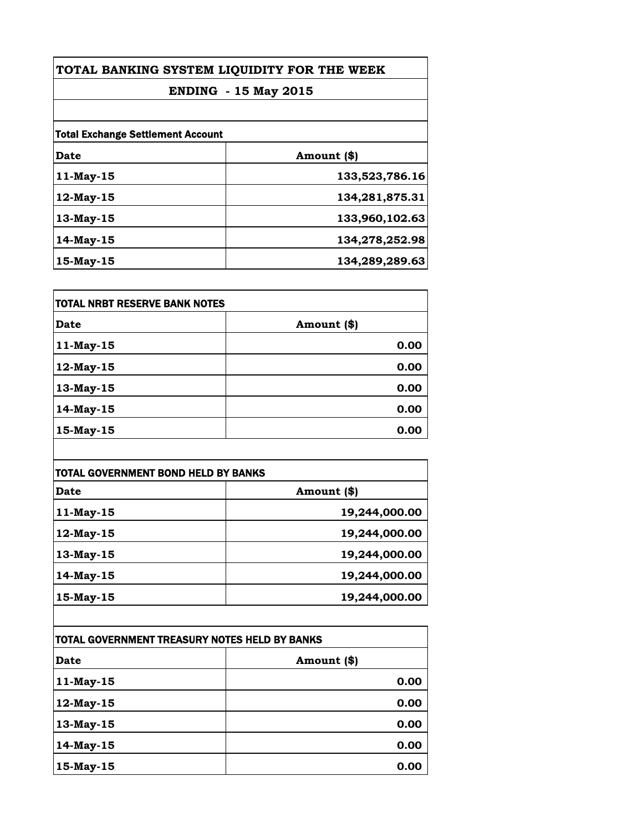| TOTAL BANKING SYSTEM LIQUIDITY FOR THE WEEK<br><b>ENDING - 15 May 2015</b> |                |                                          |             |  |
|----------------------------------------------------------------------------|----------------|------------------------------------------|-------------|--|
|                                                                            |                | <b>Total Exchange Settlement Account</b> |             |  |
|                                                                            |                | Date                                     | Amount (\$) |  |
| $11$ -May-15                                                               | 133,523,786.16 |                                          |             |  |
| $12$ -May- $15$                                                            | 134,281,875.31 |                                          |             |  |
| 13-May-15                                                                  | 133,960,102.63 |                                          |             |  |
| 14-May-15                                                                  | 134,278,252.98 |                                          |             |  |
| $15$ -May- $15$                                                            | 134,289,289.63 |                                          |             |  |

| <b>TOTAL NRBT RESERVE BANK NOTES</b> |             |
|--------------------------------------|-------------|
| Date                                 | Amount (\$) |
| 11-May-15                            | 0.00        |
| 12-May-15                            | 0.00        |
| 13-May-15                            | 0.00        |
| 14-May-15                            | 0.00        |
| 15-May-15                            | 0.00        |

| TOTAL GOVERNMENT BOND HELD BY BANKS |               |
|-------------------------------------|---------------|
| <b>Date</b>                         | Amount (\$)   |
| 11-May-15                           | 19,244,000.00 |
| 12-May-15                           | 19,244,000.00 |
| 13-May-15                           | 19,244,000.00 |
| 14-May-15                           | 19,244,000.00 |
| 15-May-15                           | 19,244,000.00 |

| TOTAL GOVERNMENT TREASURY NOTES HELD BY BANKS |             |
|-----------------------------------------------|-------------|
| <b>Date</b>                                   | Amount (\$) |
| 11-May-15                                     | 0.00        |
| 12-May-15                                     | 0.00        |
| 13-May-15                                     | 0.00        |
| 14-May-15                                     | 0.00        |
| 15-May-15                                     | 0.00        |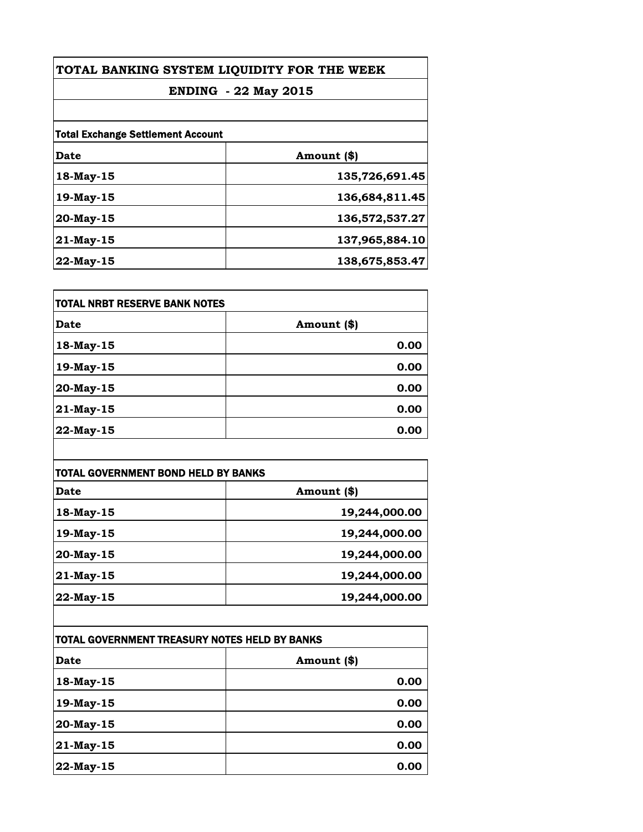| TOTAL BANKING SYSTEM LIQUIDITY FOR THE WEEK<br><b>ENDING - 22 May 2015</b> |                |  |
|----------------------------------------------------------------------------|----------------|--|
|                                                                            |                |  |
| <b>Total Exchange Settlement Account</b>                                   |                |  |
| Date                                                                       | Amount (\$)    |  |
| 18-May-15                                                                  | 135,726,691.45 |  |
| 19-May-15                                                                  | 136,684,811.45 |  |
| $20$ -May-15                                                               | 136,572,537.27 |  |
| 21-May-15                                                                  | 137,965,884.10 |  |
| $22$ -May-15                                                               | 138,675,853.47 |  |

| <b>TOTAL NRBT RESERVE BANK NOTES</b> |             |
|--------------------------------------|-------------|
| Date                                 | Amount (\$) |
| 18-May-15                            | 0.00        |
| 19-May-15                            | 0.00        |
| 20-May-15                            | 0.00        |
| 21-May-15                            | 0.00        |
| 22-May-15                            | 0.00        |

| TOTAL GOVERNMENT BOND HELD BY BANKS |               |
|-------------------------------------|---------------|
| <b>Date</b>                         | Amount (\$)   |
| 18-May-15                           | 19,244,000.00 |
| 19-May-15                           | 19,244,000.00 |
| 20-May-15                           | 19,244,000.00 |
| 21-May-15                           | 19,244,000.00 |
| 22-May-15                           | 19,244,000.00 |

| TOTAL GOVERNMENT TREASURY NOTES HELD BY BANKS |             |
|-----------------------------------------------|-------------|
| <b>Date</b>                                   | Amount (\$) |
| 18-May-15                                     | 0.00        |
| 19-May-15                                     | 0.00        |
| 20-May-15                                     | 0.00        |
| 21-May-15                                     | 0.00        |
| 22-May-15                                     | 0.00        |